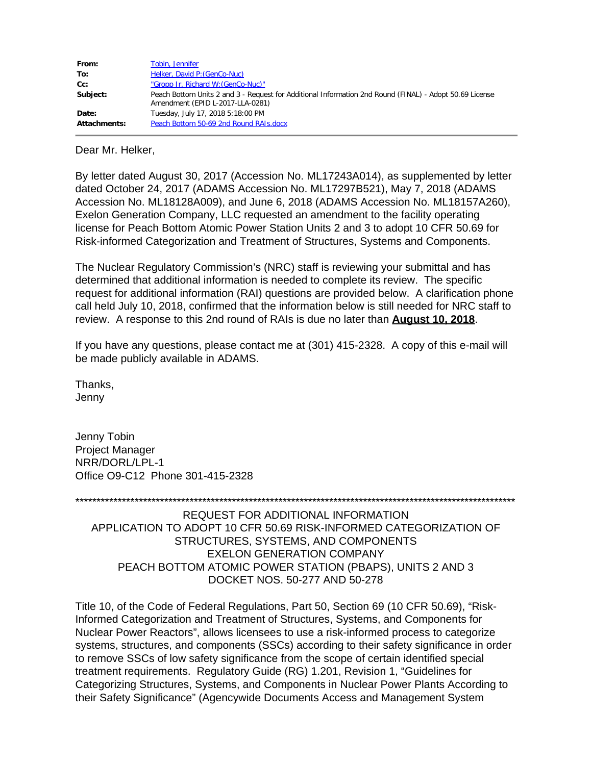| From:        | Tobin, Jennifer                                                                                                                             |
|--------------|---------------------------------------------------------------------------------------------------------------------------------------------|
| To:          | Helker, David P: (GenCo-Nuc)                                                                                                                |
| $Cc$ :       | "Gropp Jr, Richard W: (GenCo-Nuc)"                                                                                                          |
| Subject:     | Peach Bottom Units 2 and 3 - Request for Additional Information 2nd Round (FINAL) - Adopt 50.69 License<br>Amendment (EPID L-2017-LLA-0281) |
| Date:        | Tuesday, July 17, 2018 5:18:00 PM                                                                                                           |
| Attachments: | Peach Bottom 50-69 2nd Round RAIs.docx                                                                                                      |

Dear Mr. Helker,

By letter dated August 30, 2017 (Accession No. ML17243A014), as supplemented by letter dated October 24, 2017 (ADAMS Accession No. ML17297B521), May 7, 2018 (ADAMS Accession No. ML18128A009), and June 6, 2018 (ADAMS Accession No. ML18157A260), Exelon Generation Company, LLC requested an amendment to the facility operating license for Peach Bottom Atomic Power Station Units 2 and 3 to adopt 10 CFR 50.69 for Risk-informed Categorization and Treatment of Structures, Systems and Components.

The Nuclear Regulatory Commission's (NRC) staff is reviewing your submittal and has determined that additional information is needed to complete its review. The specific request for additional information (RAI) questions are provided below. A clarification phone call held July 10, 2018, confirmed that the information below is still needed for NRC staff to review. A response to this 2nd round of RAIs is due no later than **August 10, 2018**.

If you have any questions, please contact me at (301) 415-2328. A copy of this e-mail will be made publicly available in ADAMS.

Thanks, Jenny

Jenny Tobin Project Manager NRR/DORL/LPL-1 Office O9-C12 Phone 301-415-2328

\*\*\*\*\*\*\*\*\*\*\*\*\*\*\*\*\*\*\*\*\*\*\*\*\*\*\*\*\*\*\*\*\*\*\*\*\*\*\*\*\*\*\*\*\*\*\*\*\*\*\*\*\*\*\*\*\*\*\*\*\*\*\*\*\*\*\*\*\*\*\*\*\*\*\*\*\*\*\*\*\*\*\*\*\*\*\*\*\*\*\*\*\*\*\*\*\*\*\*\*\*\*\*\*

REQUEST FOR ADDITIONAL INFORMATION APPLICATION TO ADOPT 10 CFR 50.69 RISK-INFORMED CATEGORIZATION OF STRUCTURES, SYSTEMS, AND COMPONENTS EXELON GENERATION COMPANY PEACH BOTTOM ATOMIC POWER STATION (PBAPS), UNITS 2 AND 3 DOCKET NOS. 50-277 AND 50-278

Title 10, of the Code of Federal Regulations, Part 50, Section 69 (10 CFR 50.69), "Risk-Informed Categorization and Treatment of Structures, Systems, and Components for Nuclear Power Reactors", allows licensees to use a risk-informed process to categorize systems, structures, and components (SSCs) according to their safety significance in order to remove SSCs of low safety significance from the scope of certain identified special treatment requirements. Regulatory Guide (RG) 1.201, Revision 1, "Guidelines for Categorizing Structures, Systems, and Components in Nuclear Power Plants According to their Safety Significance" (Agencywide Documents Access and Management System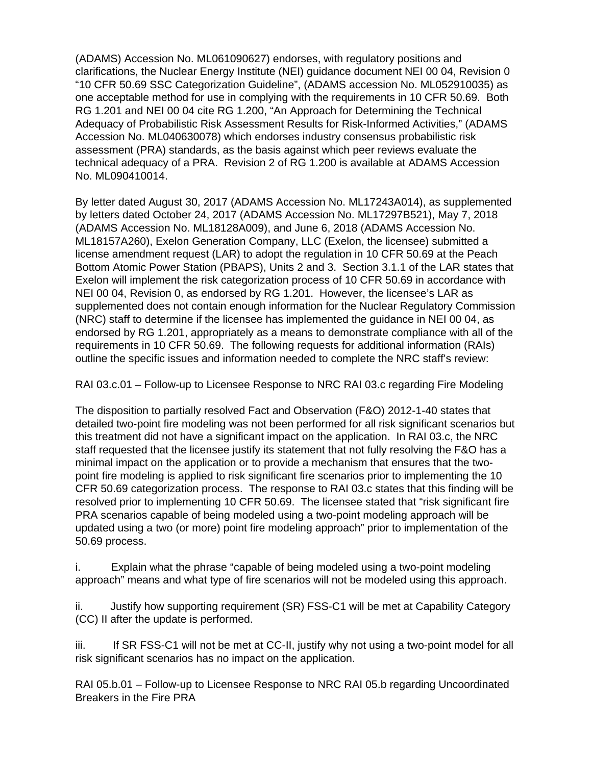(ADAMS) Accession No. ML061090627) endorses, with regulatory positions and clarifications, the Nuclear Energy Institute (NEI) guidance document NEI 00 04, Revision 0 "10 CFR 50.69 SSC Categorization Guideline", (ADAMS accession No. ML052910035) as one acceptable method for use in complying with the requirements in 10 CFR 50.69. Both RG 1.201 and NEI 00 04 cite RG 1.200, "An Approach for Determining the Technical Adequacy of Probabilistic Risk Assessment Results for Risk-Informed Activities," (ADAMS Accession No. ML040630078) which endorses industry consensus probabilistic risk assessment (PRA) standards, as the basis against which peer reviews evaluate the technical adequacy of a PRA. Revision 2 of RG 1.200 is available at ADAMS Accession No. ML090410014.

By letter dated August 30, 2017 (ADAMS Accession No. ML17243A014), as supplemented by letters dated October 24, 2017 (ADAMS Accession No. ML17297B521), May 7, 2018 (ADAMS Accession No. ML18128A009), and June 6, 2018 (ADAMS Accession No. ML18157A260), Exelon Generation Company, LLC (Exelon, the licensee) submitted a license amendment request (LAR) to adopt the regulation in 10 CFR 50.69 at the Peach Bottom Atomic Power Station (PBAPS), Units 2 and 3. Section 3.1.1 of the LAR states that Exelon will implement the risk categorization process of 10 CFR 50.69 in accordance with NEI 00 04, Revision 0, as endorsed by RG 1.201. However, the licensee's LAR as supplemented does not contain enough information for the Nuclear Regulatory Commission (NRC) staff to determine if the licensee has implemented the guidance in NEI 00 04, as endorsed by RG 1.201, appropriately as a means to demonstrate compliance with all of the requirements in 10 CFR 50.69. The following requests for additional information (RAIs) outline the specific issues and information needed to complete the NRC staff's review:

RAI 03.c.01 – Follow-up to Licensee Response to NRC RAI 03.c regarding Fire Modeling

The disposition to partially resolved Fact and Observation (F&O) 2012-1-40 states that detailed two-point fire modeling was not been performed for all risk significant scenarios but this treatment did not have a significant impact on the application. In RAI 03.c, the NRC staff requested that the licensee justify its statement that not fully resolving the F&O has a minimal impact on the application or to provide a mechanism that ensures that the twopoint fire modeling is applied to risk significant fire scenarios prior to implementing the 10 CFR 50.69 categorization process. The response to RAI 03.c states that this finding will be resolved prior to implementing 10 CFR 50.69. The licensee stated that "risk significant fire PRA scenarios capable of being modeled using a two-point modeling approach will be updated using a two (or more) point fire modeling approach" prior to implementation of the 50.69 process.

i. Explain what the phrase "capable of being modeled using a two-point modeling approach" means and what type of fire scenarios will not be modeled using this approach.

ii. Justify how supporting requirement (SR) FSS-C1 will be met at Capability Category (CC) II after the update is performed.

iii. If SR FSS-C1 will not be met at CC-II, justify why not using a two-point model for all risk significant scenarios has no impact on the application.

RAI 05.b.01 – Follow-up to Licensee Response to NRC RAI 05.b regarding Uncoordinated Breakers in the Fire PRA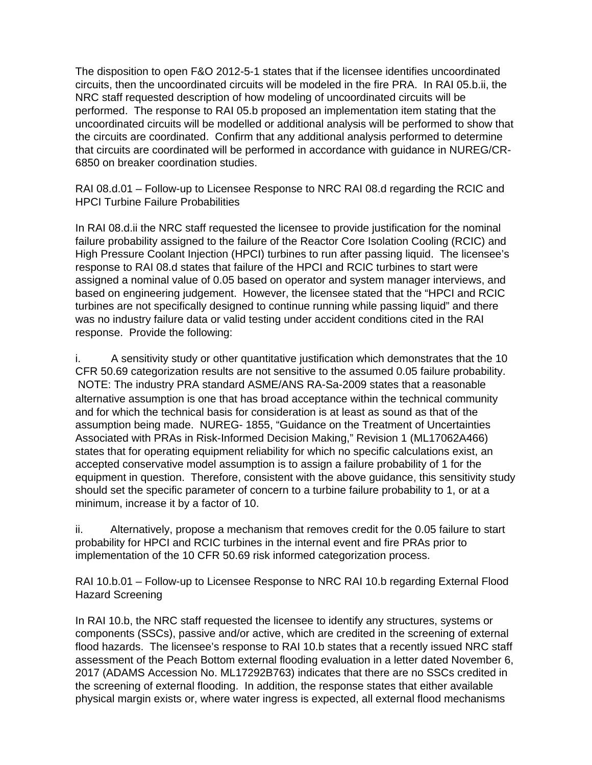The disposition to open F&O 2012-5-1 states that if the licensee identifies uncoordinated circuits, then the uncoordinated circuits will be modeled in the fire PRA. In RAI 05.b.ii, the NRC staff requested description of how modeling of uncoordinated circuits will be performed. The response to RAI 05.b proposed an implementation item stating that the uncoordinated circuits will be modelled or additional analysis will be performed to show that the circuits are coordinated. Confirm that any additional analysis performed to determine that circuits are coordinated will be performed in accordance with guidance in NUREG/CR-6850 on breaker coordination studies.

RAI 08.d.01 – Follow-up to Licensee Response to NRC RAI 08.d regarding the RCIC and HPCI Turbine Failure Probabilities

In RAI 08.d.ii the NRC staff requested the licensee to provide justification for the nominal failure probability assigned to the failure of the Reactor Core Isolation Cooling (RCIC) and High Pressure Coolant Injection (HPCI) turbines to run after passing liquid. The licensee's response to RAI 08.d states that failure of the HPCI and RCIC turbines to start were assigned a nominal value of 0.05 based on operator and system manager interviews, and based on engineering judgement. However, the licensee stated that the "HPCI and RCIC turbines are not specifically designed to continue running while passing liquid" and there was no industry failure data or valid testing under accident conditions cited in the RAI response. Provide the following:

i. A sensitivity study or other quantitative justification which demonstrates that the 10 CFR 50.69 categorization results are not sensitive to the assumed 0.05 failure probability. NOTE: The industry PRA standard ASME/ANS RA-Sa-2009 states that a reasonable alternative assumption is one that has broad acceptance within the technical community and for which the technical basis for consideration is at least as sound as that of the assumption being made. NUREG- 1855, "Guidance on the Treatment of Uncertainties Associated with PRAs in Risk-Informed Decision Making," Revision 1 (ML17062A466) states that for operating equipment reliability for which no specific calculations exist, an accepted conservative model assumption is to assign a failure probability of 1 for the equipment in question. Therefore, consistent with the above guidance, this sensitivity study should set the specific parameter of concern to a turbine failure probability to 1, or at a minimum, increase it by a factor of 10.

ii. Alternatively, propose a mechanism that removes credit for the 0.05 failure to start probability for HPCI and RCIC turbines in the internal event and fire PRAs prior to implementation of the 10 CFR 50.69 risk informed categorization process.

RAI 10.b.01 – Follow-up to Licensee Response to NRC RAI 10.b regarding External Flood Hazard Screening

In RAI 10.b, the NRC staff requested the licensee to identify any structures, systems or components (SSCs), passive and/or active, which are credited in the screening of external flood hazards. The licensee's response to RAI 10.b states that a recently issued NRC staff assessment of the Peach Bottom external flooding evaluation in a letter dated November 6, 2017 (ADAMS Accession No. ML17292B763) indicates that there are no SSCs credited in the screening of external flooding. In addition, the response states that either available physical margin exists or, where water ingress is expected, all external flood mechanisms